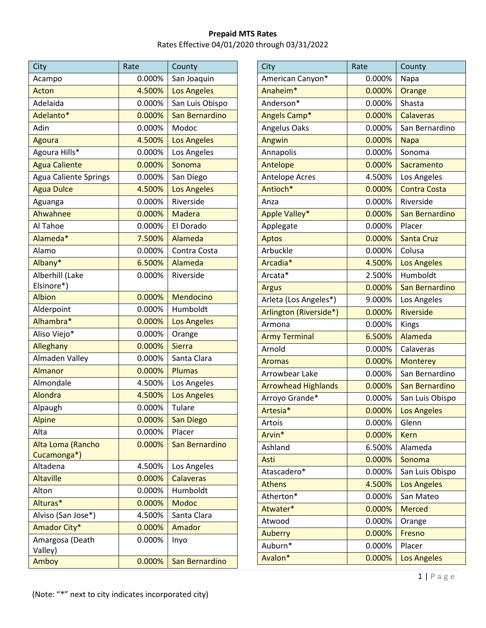Note: "\*" next to city indicates incorporated city

| City                         | Rate   | County             |
|------------------------------|--------|--------------------|
| Acampo                       | 0.000% | San Joaquin        |
| Acton                        | 4.500% | <b>Los Angeles</b> |
| Adelaida                     | 0.000% | San Luis Obispo    |
| Adelanto*                    | 0.000% | San Bernardino     |
| Adin                         | 0.000% | Modoc              |
| Agoura                       | 4.500% | <b>Los Angeles</b> |
| Agoura Hills*                | 0.000% | Los Angeles        |
| <b>Agua Caliente</b>         | 0.000% | Sonoma             |
| <b>Agua Caliente Springs</b> | 0.000% | San Diego          |
| <b>Agua Dulce</b>            | 4.500% | <b>Los Angeles</b> |
| Aguanga                      | 0.000% | Riverside          |
| Ahwahnee                     | 0.000% | <b>Madera</b>      |
| Al Tahoe                     | 0.000% | El Dorado          |
| Alameda*                     | 7.500% | Alameda            |
| Alamo                        | 0.000% | Contra Costa       |
| Albany*                      | 6.500% | Alameda            |
| Alberhill (Lake              | 0.000% | Riverside          |
| Elsinore*)                   |        |                    |
| <b>Albion</b>                | 0.000% | Mendocino          |
| Alderpoint                   | 0.000% | Humboldt           |
| Alhambra*                    | 0.000% | Los Angeles        |
| Aliso Viejo*                 | 0.000% | Orange             |
| Alleghany                    | 0.000% | <b>Sierra</b>      |
| Almaden Valley               | 0.000% | Santa Clara        |
| Almanor                      | 0.000% | <b>Plumas</b>      |
| Almondale                    | 4.500% | Los Angeles        |
| Alondra                      | 4.500% | <b>Los Angeles</b> |
| Alpaugh                      | 0.000% | Tulare             |
| <b>Alpine</b>                | 0.000% | <b>San Diego</b>   |
| Alta                         | 0.000% | Placer             |
| Alta Loma (Rancho            | 0.000% | San Bernardino     |
| Cucamonga*)                  |        |                    |
| Altadena                     | 4.500% | Los Angeles        |
| <b>Altaville</b>             | 0.000% | <b>Calaveras</b>   |
| Alton                        | 0.000% | Humboldt           |
| Alturas*                     | 0.000% | <b>Modoc</b>       |
| Alviso (San Jose*)           | 4.500% | Santa Clara        |
| Amador City*                 | 0.000% | Amador             |
| Amargosa (Death<br>Valley)   | 0.000% | Inyo               |
| Amboy                        | 0.000% | San Bernardino     |

| City                       | Rate   | County              |
|----------------------------|--------|---------------------|
| American Canyon*           | 0.000% | Napa                |
| Anaheim <sup>*</sup>       | 0.000% | Orange              |
| Anderson*                  | 0.000% | Shasta              |
| Angels Camp*               | 0.000% | <b>Calaveras</b>    |
| Angelus Oaks               | 0.000% | San Bernardino      |
| Angwin                     | 0.000% | <b>Napa</b>         |
| Annapolis                  | 0.000% | Sonoma              |
| Antelope                   | 0.000% | Sacramento          |
| <b>Antelope Acres</b>      | 4.500% | Los Angeles         |
| Antioch*                   | 0.000% | <b>Contra Costa</b> |
| Anza                       | 0.000% | Riverside           |
| Apple Valley*              | 0.000% | San Bernardino      |
| Applegate                  | 0.000% | Placer              |
| Aptos                      | 0.000% | <b>Santa Cruz</b>   |
| Arbuckle                   | 0.000% | Colusa              |
| Arcadia*                   | 4.500% | <b>Los Angeles</b>  |
| Arcata*                    | 2.500% | Humboldt            |
| <b>Argus</b>               | 0.000% | San Bernardino      |
| Arleta (Los Angeles*)      | 9.000% | Los Angeles         |
| Arlington (Riverside*)     | 0.000% | <b>Riverside</b>    |
| Armona                     | 0.000% | <b>Kings</b>        |
| <b>Army Terminal</b>       | 6.500% | Alameda             |
| Arnold                     | 0.000% | Calaveras           |
| <b>Aromas</b>              | 0.000% | <b>Monterey</b>     |
| Arrowbear Lake             | 0.000% | San Bernardino      |
| <b>Arrowhead Highlands</b> | 0.000% | San Bernardino      |
| Arroyo Grande*             | 0.000% | San Luis Obispo     |
| Artesia*                   | 0.000% | Los Angeles         |
| Artois                     | 0.000% | Glenn               |
| Arvin*                     | 0.000% | <b>Kern</b>         |
| Ashland                    | 6.500% | Alameda             |
| Asti                       | 0.000% | Sonoma              |
| Atascadero*                | 0.000% | San Luis Obispo     |
| <b>Athens</b>              | 4.500% | <b>Los Angeles</b>  |
| Atherton*                  | 0.000% | San Mateo           |
| Atwater*                   | 0.000% | <b>Merced</b>       |
| Atwood                     | 0.000% | Orange              |
| Auberry                    | 0.000% | Fresno              |
| Auburn*                    | 0.000% | Placer              |
| Avalon*                    | 0.000% | <b>Los Angeles</b>  |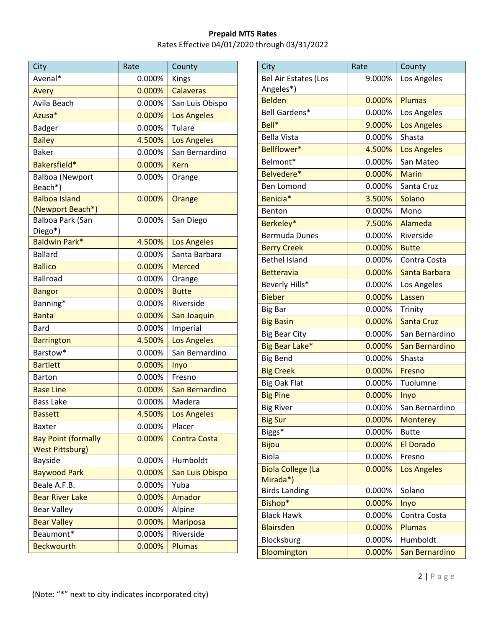| City                        | Rate   | County              |
|-----------------------------|--------|---------------------|
| Avenal*                     | 0.000% | Kings               |
| Avery                       | 0.000% | <b>Calaveras</b>    |
| Avila Beach                 | 0.000% | San Luis Obispo     |
| Azusa*                      | 0.000% | <b>Los Angeles</b>  |
| <b>Badger</b>               | 0.000% | Tulare              |
| <b>Bailey</b>               | 4.500% | <b>Los Angeles</b>  |
| <b>Baker</b>                | 0.000% | San Bernardino      |
| Bakersfield*                | 0.000% | <b>Kern</b>         |
| <b>Balboa (Newport</b>      | 0.000% | Orange              |
| Beach*)                     |        |                     |
| <b>Balboa Island</b>        | 0.000% | Orange              |
| (Newport Beach*)            |        |                     |
| Balboa Park (San<br>Diego*) | 0.000% | San Diego           |
| <b>Baldwin Park*</b>        | 4.500% | <b>Los Angeles</b>  |
| <b>Ballard</b>              | 0.000% | Santa Barbara       |
| <b>Ballico</b>              | 0.000% | <b>Merced</b>       |
| <b>Ballroad</b>             | 0.000% | Orange              |
| <b>Bangor</b>               | 0.000% | <b>Butte</b>        |
| Banning*                    | 0.000% | Riverside           |
| <b>Banta</b>                | 0.000% | San Joaquin         |
| <b>Bard</b>                 | 0.000% | Imperial            |
| <b>Barrington</b>           | 4.500% | <b>Los Angeles</b>  |
| Barstow*                    | 0.000% | San Bernardino      |
| <b>Bartlett</b>             | 0.000% | Inyo                |
| <b>Barton</b>               | 0.000% | Fresno              |
| <b>Base Line</b>            | 0.000% | San Bernardino      |
| <b>Bass Lake</b>            | 0.000% | Madera              |
| <b>Bassett</b>              | 4.500% | Los Angeles         |
| <b>Baxter</b>               | 0.000% | Placer              |
| <b>Bay Point (formally</b>  | 0.000% | <b>Contra Costa</b> |
| <b>West Pittsburg)</b>      |        |                     |
| Bayside                     | 0.000% | Humboldt            |
| <b>Baywood Park</b>         | 0.000% | San Luis Obispo     |
| Beale A.F.B.                | 0.000% | Yuba                |
| <b>Bear River Lake</b>      | 0.000% | Amador              |
| <b>Bear Valley</b>          | 0.000% | Alpine              |
| <b>Bear Valley</b>          | 0.000% | <b>Mariposa</b>     |
| Beaumont*                   | 0.000% | Riverside           |
| <b>Beckwourth</b>           | 0.000% | <b>Plumas</b>       |

| City                                     | Rate      | County             |
|------------------------------------------|-----------|--------------------|
| <b>Bel Air Estates (Los</b><br>Angeles*) | 9.000%    | Los Angeles        |
| <b>Belden</b>                            | $0.000\%$ | <b>Plumas</b>      |
| Bell Gardens*                            | 0.000%    | Los Angeles        |
| Bell*                                    | 9.000%    | <b>Los Angeles</b> |
| <b>Bella Vista</b>                       | 0.000%    | Shasta             |
| Bellflower*                              | 4.500%    | <b>Los Angeles</b> |
| Belmont*                                 | 0.000%    | San Mateo          |
| Belvedere*                               | 0.000%    | <b>Marin</b>       |
| Ben Lomond                               | 0.000%    | Santa Cruz         |
| Benicia*                                 | 3.500%    | Solano             |
| Benton                                   | 0.000%    | Mono               |
| Berkeley*                                | 7.500%    | Alameda            |
| <b>Bermuda Dunes</b>                     | 0.000%    | Riverside          |
| <b>Berry Creek</b>                       | $0.000\%$ | <b>Butte</b>       |
| <b>Bethel Island</b>                     | 0.000%    | Contra Costa       |
| <b>Betteravia</b>                        | 0.000%    | Santa Barbara      |
| Beverly Hills*                           | 0.000%    | Los Angeles        |
| <b>Bieber</b>                            | 0.000%    | Lassen             |
| <b>Big Bar</b>                           | 0.000%    | Trinity            |
| <b>Big Basin</b>                         | 0.000%    | <b>Santa Cruz</b>  |
| <b>Big Bear City</b>                     | 0.000%    | San Bernardino     |
| Big Bear Lake*                           | 0.000%    | San Bernardino     |
| <b>Big Bend</b>                          | 0.000%    | Shasta             |
| <b>Big Creek</b>                         | 0.000%    | Fresno             |
| <b>Big Oak Flat</b>                      | 0.000%    | Tuolumne           |
| <b>Big Pine</b>                          | 0.000%    | Inyo               |
| <b>Big River</b>                         | 0.000%    | San Bernardino     |
| <b>Big Sur</b>                           | 0.000%    | <b>Monterey</b>    |
| Biggs*                                   | 0.000%    | <b>Butte</b>       |
| <b>Bijou</b>                             | 0.000%    | <b>El Dorado</b>   |
| <b>Biola</b>                             | 0.000%    | Fresno             |
| <b>Biola College (La</b><br>Mirada*)     | 0.000%    | <b>Los Angeles</b> |
| <b>Birds Landing</b>                     | 0.000%    | Solano             |
| Bishop*                                  | 0.000%    | Inyo               |
| <b>Black Hawk</b>                        | 0.000%    | Contra Costa       |
| <b>Blairsden</b>                         | 0.000%    | <b>Plumas</b>      |
| Blocksburg                               | 0.000%    | Humboldt           |
| Bloomington                              | 0.000%    | San Bernardino     |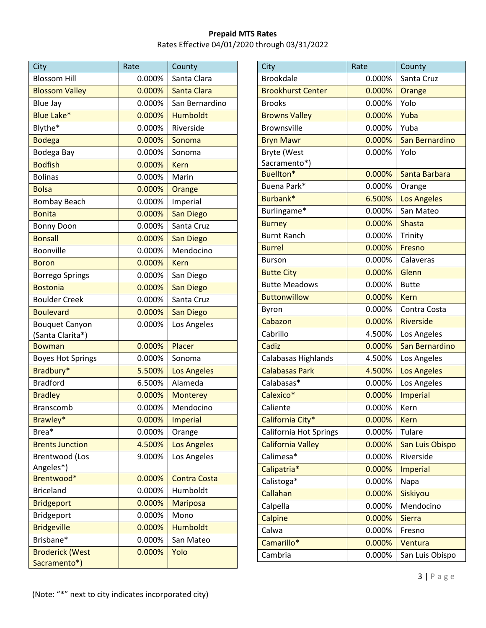| City                                   | Rate      | County              |
|----------------------------------------|-----------|---------------------|
| <b>Blossom Hill</b>                    | 0.000%    | Santa Clara         |
| <b>Blossom Valley</b>                  | 0.000%    | Santa Clara         |
| <b>Blue Jay</b>                        | 0.000%    | San Bernardino      |
| <b>Blue Lake*</b>                      | 0.000%    | <b>Humboldt</b>     |
| Blythe*                                | 0.000%    | Riverside           |
| <b>Bodega</b>                          | 0.000%    | Sonoma              |
| Bodega Bay                             | 0.000%    | Sonoma              |
| <b>Bodfish</b>                         | $0.000\%$ | <b>Kern</b>         |
| <b>Bolinas</b>                         | 0.000%    | Marin               |
| <b>Bolsa</b>                           | $0.000\%$ | Orange              |
| <b>Bombay Beach</b>                    | 0.000%    | Imperial            |
| <b>Bonita</b>                          | 0.000%    | <b>San Diego</b>    |
| <b>Bonny Doon</b>                      | 0.000%    | Santa Cruz          |
| <b>Bonsall</b>                         | 0.000%    | San Diego           |
| Boonville                              | 0.000%    | Mendocino           |
| <b>Boron</b>                           | 0.000%    | <b>Kern</b>         |
| <b>Borrego Springs</b>                 | 0.000%    | San Diego           |
| <b>Bostonia</b>                        | 0.000%    | <b>San Diego</b>    |
| <b>Boulder Creek</b>                   | 0.000%    | Santa Cruz          |
| <b>Boulevard</b>                       | $0.000\%$ | <b>San Diego</b>    |
| <b>Bouquet Canyon</b>                  | 0.000%    | Los Angeles         |
| (Santa Clarita*)                       |           |                     |
| <b>Bowman</b>                          | 0.000%    | Placer              |
| <b>Boyes Hot Springs</b>               | 0.000%    | Sonoma              |
| Bradbury*                              | 5.500%    | <b>Los Angeles</b>  |
| <b>Bradford</b>                        | 6.500%    | Alameda             |
| <b>Bradley</b>                         | 0.000%    | <b>Monterey</b>     |
| Branscomb                              | 0.000%    | Mendocino           |
| Brawley*                               | 0.000%    | <b>Imperial</b>     |
| Brea*                                  | 0.000%    | Orange              |
| <b>Brents Junction</b>                 | 4.500%    | <b>Los Angeles</b>  |
| <b>Brentwood (Los</b>                  | 9.000%    | Los Angeles         |
| Angeles*)                              |           |                     |
| Brentwood*                             | 0.000%    | <b>Contra Costa</b> |
| <b>Briceland</b>                       | 0.000%    | Humboldt            |
| <b>Bridgeport</b>                      | 0.000%    | <b>Mariposa</b>     |
| <b>Bridgeport</b>                      | 0.000%    | Mono                |
| <b>Bridgeville</b>                     | 0.000%    | <b>Humboldt</b>     |
| Brisbane*                              | 0.000%    | San Mateo           |
| <b>Broderick (West</b><br>Sacramento*) | 0.000%    | Yolo                |

| City                          | Rate   | County             |
|-------------------------------|--------|--------------------|
| <b>Brookdale</b>              | 0.000% | Santa Cruz         |
| <b>Brookhurst Center</b>      | 0.000% | Orange             |
| <b>Brooks</b>                 | 0.000% | Yolo               |
| <b>Browns Valley</b>          | 0.000% | Yuba               |
| <b>Brownsville</b>            | 0.000% | Yuba               |
| <b>Bryn Mawr</b>              | 0.000% | San Bernardino     |
| <b>Bryte (West</b>            | 0.000% | Yolo               |
| Sacramento*)                  |        |                    |
| Buellton*                     | 0.000% | Santa Barbara      |
| Buena Park*                   | 0.000% | Orange             |
| Burbank*                      | 6.500% | <b>Los Angeles</b> |
| Burlingame*                   | 0.000% | San Mateo          |
| <b>Burney</b>                 | 0.000% | <b>Shasta</b>      |
| <b>Burnt Ranch</b>            | 0.000% | Trinity            |
| <b>Burrel</b>                 | 0.000% | Fresno             |
| <b>Burson</b>                 | 0.000% | Calaveras          |
| <b>Butte City</b>             | 0.000% | Glenn              |
| <b>Butte Meadows</b>          | 0.000% | <b>Butte</b>       |
| <b>Buttonwillow</b>           | 0.000% | <b>Kern</b>        |
| Byron                         | 0.000% | Contra Costa       |
| Cabazon                       | 0.000% | <b>Riverside</b>   |
| Cabrillo                      | 4.500% | Los Angeles        |
| Cadiz                         | 0.000% | San Bernardino     |
| Calabasas Highlands           | 4.500% | Los Angeles        |
| <b>Calabasas Park</b>         | 4.500% | <b>Los Angeles</b> |
| Calabasas*                    | 0.000% | Los Angeles        |
| Calexico*                     | 0.000% | <b>Imperial</b>    |
| Caliente                      | 0.000% | Kern               |
| California City*              | 0.000% | <b>Kern</b>        |
| <b>California Hot Springs</b> | 0.000% | <b>Tulare</b>      |
| <b>California Valley</b>      | 0.000% | San Luis Obispo    |
| Calimesa*                     | 0.000% | Riverside          |
| Calipatria*                   | 0.000% | <b>Imperial</b>    |
| Calistoga*                    | 0.000% | Napa               |
| Callahan                      | 0.000% | Siskiyou           |
| Calpella                      | 0.000% | Mendocino          |
| Calpine                       | 0.000% | <b>Sierra</b>      |
| Calwa                         | 0.000% | Fresno             |
| Camarillo*                    | 0.000% | Ventura            |
| Cambria                       | 0.000% | San Luis Obispo    |
|                               |        |                    |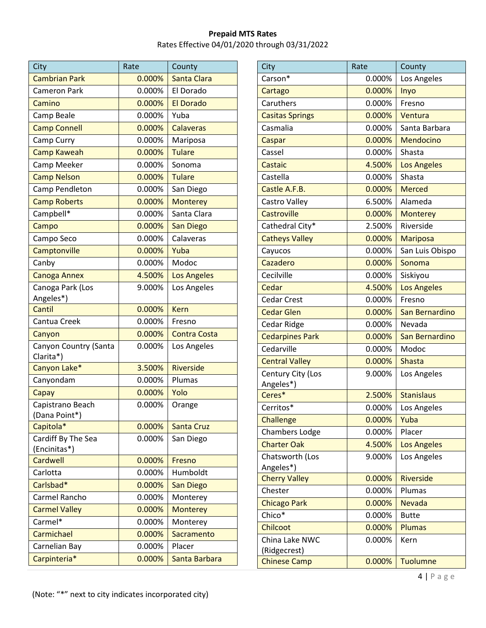| City                               | Rate   | County              |
|------------------------------------|--------|---------------------|
| <b>Cambrian Park</b>               | 0.000% | Santa Clara         |
| <b>Cameron Park</b>                | 0.000% | El Dorado           |
| Camino                             | 0.000% | <b>El Dorado</b>    |
| Camp Beale                         | 0.000% | Yuba                |
| <b>Camp Connell</b>                | 0.000% | <b>Calaveras</b>    |
| Camp Curry                         | 0.000% | Mariposa            |
| <b>Camp Kaweah</b>                 | 0.000% | <b>Tulare</b>       |
| Camp Meeker                        | 0.000% | Sonoma              |
| <b>Camp Nelson</b>                 | 0.000% | <b>Tulare</b>       |
| Camp Pendleton                     | 0.000% | San Diego           |
| <b>Camp Roberts</b>                | 0.000% | <b>Monterey</b>     |
| Campbell*                          | 0.000% | Santa Clara         |
| Campo                              | 0.000% | <b>San Diego</b>    |
| Campo Seco                         | 0.000% | Calaveras           |
| Camptonville                       | 0.000% | Yuba                |
| Canby                              | 0.000% | Modoc               |
| <b>Canoga Annex</b>                | 4.500% | <b>Los Angeles</b>  |
| Canoga Park (Los                   | 9.000% | Los Angeles         |
| Angeles*)                          |        |                     |
| Cantil                             | 0.000% | Kern                |
| Cantua Creek                       | 0.000% | Fresno              |
| Canyon                             | 0.000% | <b>Contra Costa</b> |
| Canyon Country (Santa<br>Clarita*) | 0.000% | Los Angeles         |
| Canyon Lake*                       | 3.500% | <b>Riverside</b>    |
| Canyondam                          | 0.000% | Plumas              |
| Capay                              | 0.000% | Yolo                |
| Capistrano Beach<br>(Dana Point*)  | 0.000% | Orange              |
| Capitola*                          | 0.000% | <b>Santa Cruz</b>   |
| Cardiff By The Sea                 | 0.000% | San Diego           |
| (Encinitas*)                       |        |                     |
| Cardwell                           | 0.000% | Fresno              |
| Carlotta                           | 0.000% | Humboldt            |
| Carlsbad*                          | 0.000% | San Diego           |
| Carmel Rancho                      | 0.000% | Monterey            |
| <b>Carmel Valley</b>               | 0.000% | <b>Monterey</b>     |
| Carmel*                            | 0.000% | Monterey            |
| Carmichael                         | 0.000% | Sacramento          |
| Carnelian Bay                      | 0.000% | Placer              |
| Carpinteria*                       | 0.000% | Santa Barbara       |

| City                           | Rate   | County             |
|--------------------------------|--------|--------------------|
| Carson*                        | 0.000% | Los Angeles        |
| Cartago                        | 0.000% | Inyo               |
| Caruthers                      | 0.000% | Fresno             |
| <b>Casitas Springs</b>         | 0.000% | Ventura            |
| Casmalia                       | 0.000% | Santa Barbara      |
| Caspar                         | 0.000% | Mendocino          |
| Cassel                         | 0.000% | Shasta             |
| Castaic                        | 4.500% | <b>Los Angeles</b> |
| Castella                       | 0.000% | Shasta             |
| Castle A.F.B.                  | 0.000% | <b>Merced</b>      |
| Castro Valley                  | 6.500% | Alameda            |
| Castroville                    | 0.000% | <b>Monterey</b>    |
| Cathedral City*                | 2.500% | Riverside          |
| <b>Catheys Valley</b>          | 0.000% | <b>Mariposa</b>    |
| Cayucos                        | 0.000% | San Luis Obispo    |
| Cazadero                       | 0.000% | Sonoma             |
| Cecilville                     | 0.000% | Siskiyou           |
| Cedar                          | 4.500% | <b>Los Angeles</b> |
| <b>Cedar Crest</b>             | 0.000% | Fresno             |
| <b>Cedar Glen</b>              | 0.000% | San Bernardino     |
| Cedar Ridge                    | 0.000% | Nevada             |
| <b>Cedarpines Park</b>         | 0.000% | San Bernardino     |
| Cedarville                     | 0.000% | Modoc              |
| <b>Central Valley</b>          | 0.000% | Shasta             |
| Century City (Los<br>Angeles*) | 9.000% | Los Angeles        |
| Ceres*                         | 2.500% | <b>Stanislaus</b>  |
| Cerritos*                      | 0.000% | Los Angeles        |
| Challenge                      | 0.000% | Yuba               |
| <b>Chambers Lodge</b>          | 0.000% | Placer             |
| <b>Charter Oak</b>             | 4.500% | <b>Los Angeles</b> |
| Chatsworth (Los<br>Angeles*)   | 9.000% | Los Angeles        |
| <b>Cherry Valley</b>           | 0.000% | <b>Riverside</b>   |
| Chester                        | 0.000% | Plumas             |
| <b>Chicago Park</b>            | 0.000% | <b>Nevada</b>      |
| Chico*                         | 0.000% | <b>Butte</b>       |
| Chilcoot                       | 0.000% | <b>Plumas</b>      |
| China Lake NWC<br>(Ridgecrest) | 0.000% | Kern               |
| <b>Chinese Camp</b>            | 0.000% | <b>Tuolumne</b>    |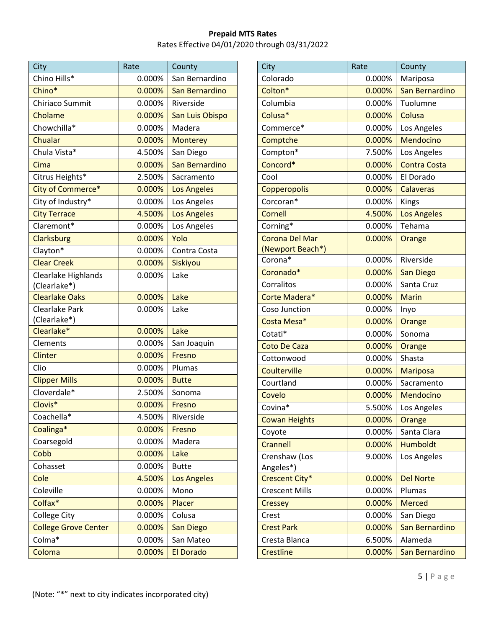| City                        | Rate   | County             |
|-----------------------------|--------|--------------------|
| Chino Hills*                | 0.000% | San Bernardino     |
| Chino*                      | 0.000% | San Bernardino     |
| Chiriaco Summit             | 0.000% | Riverside          |
| Cholame                     | 0.000% | San Luis Obispo    |
| Chowchilla*                 | 0.000% | Madera             |
| Chualar                     | 0.000% | <b>Monterey</b>    |
| Chula Vista*                | 4.500% | San Diego          |
| Cima                        | 0.000% | San Bernardino     |
| Citrus Heights*             | 2.500% | Sacramento         |
| City of Commerce*           | 0.000% | <b>Los Angeles</b> |
| City of Industry*           | 0.000% | Los Angeles        |
| <b>City Terrace</b>         | 4.500% | <b>Los Angeles</b> |
| Claremont*                  | 0.000% | Los Angeles        |
| Clarksburg                  | 0.000% | Yolo               |
| Clayton*                    | 0.000% | Contra Costa       |
| <b>Clear Creek</b>          | 0.000% | <b>Siskiyou</b>    |
| Clearlake Highlands         | 0.000% | Lake               |
| (Clearlake*)                |        |                    |
| <b>Clearlake Oaks</b>       | 0.000% | Lake               |
| Clearlake Park              | 0.000% | Lake               |
| (Clearlake*)                |        |                    |
| Clearlake*                  | 0.000% | Lake               |
| Clements                    | 0.000% | San Joaquin        |
| Clinter                     | 0.000% | Fresno             |
| Clio                        | 0.000% | Plumas             |
| <b>Clipper Mills</b>        | 0.000% | <b>Butte</b>       |
| Cloverdale*                 | 2.500% | Sonoma             |
| Clovis*                     | 0.000% | Fresno             |
| Coachella*                  | 4.500% | Riverside          |
| Coalinga*                   | 0.000% | Fresno             |
| Coarsegold                  | 0.000% | Madera             |
| Cobb                        | 0.000% | Lake               |
| Cohasset                    | 0.000% | <b>Butte</b>       |
| Cole                        | 4.500% | <b>Los Angeles</b> |
| Coleville                   | 0.000% | Mono               |
| Colfax*                     | 0.000% | Placer             |
| College City                | 0.000% | Colusa             |
| <b>College Grove Center</b> | 0.000% | San Diego          |
| Colma*                      | 0.000% | San Mateo          |
| Coloma                      | 0.000% | <b>El Dorado</b>   |

| City                        | Rate   | County              |
|-----------------------------|--------|---------------------|
| Colorado                    | 0.000% | Mariposa            |
| Colton*                     | 0.000% | San Bernardino      |
| Columbia                    | 0.000% | Tuolumne            |
| Colusa*                     | 0.000% | Colusa              |
| Commerce*                   | 0.000% | Los Angeles         |
| Comptche                    | 0.000% | Mendocino           |
| Compton*                    | 7.500% | Los Angeles         |
| Concord*                    | 0.000% | <b>Contra Costa</b> |
| Cool                        | 0.000% | El Dorado           |
| Copperopolis                | 0.000% | <b>Calaveras</b>    |
| Corcoran*                   | 0.000% | Kings               |
| Cornell                     | 4.500% | <b>Los Angeles</b>  |
| Corning*                    | 0.000% | Tehama              |
| <b>Corona Del Mar</b>       | 0.000% | Orange              |
| (Newport Beach*)<br>Corona* | 0.000% | Riverside           |
| Coronado*                   | 0.000% | <b>San Diego</b>    |
| Corralitos                  | 0.000% | Santa Cruz          |
| Corte Madera*               | 0.000% | <b>Marin</b>        |
| Coso Junction               | 0.000% | Inyo                |
| Costa Mesa*                 | 0.000% | Orange              |
| Cotati*                     | 0.000% | Sonoma              |
| <b>Coto De Caza</b>         | 0.000% | Orange              |
| Cottonwood                  | 0.000% | Shasta              |
| Coulterville                | 0.000% | Mariposa            |
| Courtland                   | 0.000% | Sacramento          |
| Covelo                      | 0.000% | <b>Mendocino</b>    |
| Covina*                     | 5.500% | Los Angeles         |
| <b>Cowan Heights</b>        | 0.000% | Orange              |
| Coyote                      | 0.000% | Santa Clara         |
| Crannell                    | 0.000% | <b>Humboldt</b>     |
| Crenshaw (Los               | 9.000% | Los Angeles         |
| Angeles*)<br>Crescent City* | 0.000% | <b>Del Norte</b>    |
| <b>Crescent Mills</b>       | 0.000% | Plumas              |
| <b>Cressey</b>              | 0.000% | <b>Merced</b>       |
| Crest                       | 0.000% | San Diego           |
| <b>Crest Park</b>           | 0.000% | San Bernardino      |
| Cresta Blanca               | 6.500% | Alameda             |
| <b>Crestline</b>            | 0.000% | San Bernardino      |
|                             |        |                     |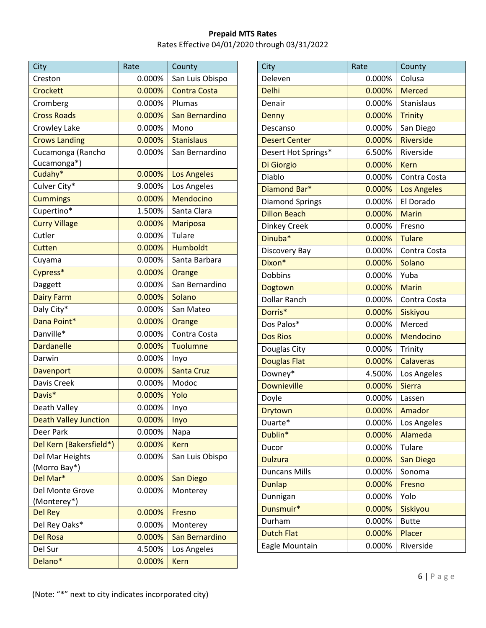| City                             | Rate   | County              |
|----------------------------------|--------|---------------------|
| Creston                          | 0.000% | San Luis Obispo     |
| Crockett                         | 0.000% | <b>Contra Costa</b> |
| Cromberg                         | 0.000% | Plumas              |
| <b>Cross Roads</b>               | 0.000% | San Bernardino      |
| Crowley Lake                     | 0.000% | Mono                |
| <b>Crows Landing</b>             | 0.000% | <b>Stanislaus</b>   |
| Cucamonga (Rancho<br>Cucamonga*) | 0.000% | San Bernardino      |
| Cudahy*                          | 0.000% | <b>Los Angeles</b>  |
| Culver City*                     | 9.000% | Los Angeles         |
| <b>Cummings</b>                  | 0.000% | Mendocino           |
| Cupertino*                       | 1.500% | Santa Clara         |
| <b>Curry Village</b>             | 0.000% | <b>Mariposa</b>     |
| Cutler                           | 0.000% | Tulare              |
| Cutten                           | 0.000% | <b>Humboldt</b>     |
| Cuyama                           | 0.000% | Santa Barbara       |
| Cypress*                         | 0.000% | Orange              |
| Daggett                          | 0.000% | San Bernardino      |
| <b>Dairy Farm</b>                | 0.000% | Solano              |
| Daly City*                       | 0.000% | San Mateo           |
| Dana Point*                      | 0.000% | Orange              |
| Danville*                        | 0.000% | Contra Costa        |
| <b>Dardanelle</b>                | 0.000% | <b>Tuolumne</b>     |
| Darwin                           | 0.000% | Inyo                |
| Davenport                        | 0.000% | <b>Santa Cruz</b>   |
| Davis Creek                      | 0.000% | Modoc               |
| Davis*                           | 0.000% | Yolo                |
| Death Valley                     | 0.000% | Inyo                |
| <b>Death Valley Junction</b>     | 0.000% | Inyo                |
| Deer Park                        | 0.000% | Napa                |
| Del Kern (Bakersfield*)          | 0.000% | <b>Kern</b>         |
| Del Mar Heights<br>(Morro Bay*)  | 0.000% | San Luis Obispo     |
| Del Mar*                         | 0.000% | <b>San Diego</b>    |
| Del Monte Grove<br>(Monterey*)   | 0.000% | Monterey            |
| <b>Del Rey</b>                   | 0.000% | Fresno              |
| Del Rey Oaks*                    | 0.000% | Monterey            |
| <b>Del Rosa</b>                  | 0.000% | San Bernardino      |
| Del Sur                          | 4.500% | Los Angeles         |
| Delano*                          | 0.000% | <b>Kern</b>         |

| City                   | Rate   | County             |
|------------------------|--------|--------------------|
| Deleven                | 0.000% | Colusa             |
| <b>Delhi</b>           | 0.000% | <b>Merced</b>      |
| Denair                 | 0.000% | <b>Stanislaus</b>  |
| Denny                  | 0.000% | <b>Trinity</b>     |
| Descanso               | 0.000% | San Diego          |
| <b>Desert Center</b>   | 0.000% | <b>Riverside</b>   |
| Desert Hot Springs*    | 6.500% | Riverside          |
| Di Giorgio             | 0.000% | <b>Kern</b>        |
| Diablo                 | 0.000% | Contra Costa       |
| Diamond Bar*           | 0.000% | <b>Los Angeles</b> |
| <b>Diamond Springs</b> | 0.000% | El Dorado          |
| <b>Dillon Beach</b>    | 0.000% | <b>Marin</b>       |
| Dinkey Creek           | 0.000% | Fresno             |
| Dinuba*                | 0.000% | <b>Tulare</b>      |
| Discovery Bay          | 0.000% | Contra Costa       |
| Dixon*                 | 0.000% | Solano             |
| <b>Dobbins</b>         | 0.000% | Yuba               |
| Dogtown                | 0.000% | <b>Marin</b>       |
| <b>Dollar Ranch</b>    | 0.000% | Contra Costa       |
| Dorris*                | 0.000% | Siskiyou           |
| Dos Palos*             | 0.000% | Merced             |
| <b>Dos Rios</b>        | 0.000% | Mendocino          |
| Douglas City           | 0.000% | Trinity            |
| <b>Douglas Flat</b>    | 0.000% | <b>Calaveras</b>   |
| Downey*                | 4.500% | Los Angeles        |
| <b>Downieville</b>     | 0.000% | <b>Sierra</b>      |
| Doyle                  | 0.000% | Lassen             |
| Drytown                | 0.000% | Amador             |
| Duarte*                | 0.000% | Los Angeles        |
| Dublin*                | 0.000% | Alameda            |
| Ducor                  | 0.000% | Tulare             |
| <b>Dulzura</b>         | 0.000% | <b>San Diego</b>   |
| <b>Duncans Mills</b>   | 0.000% | Sonoma             |
| <b>Dunlap</b>          | 0.000% | Fresno             |
| Dunnigan               | 0.000% | Yolo               |
| Dunsmuir*              | 0.000% | <b>Siskiyou</b>    |
| Durham                 | 0.000% | <b>Butte</b>       |
| <b>Dutch Flat</b>      | 0.000% | Placer             |
| Eagle Mountain         | 0.000% | Riverside          |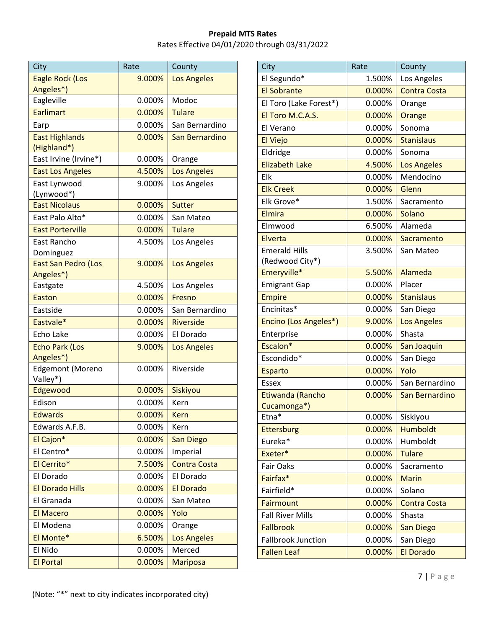| City                    | Rate   | County              |
|-------------------------|--------|---------------------|
| Eagle Rock (Los         | 9.000% | <b>Los Angeles</b>  |
| Angeles*)               |        |                     |
| Eagleville              | 0.000% | Modoc               |
| <b>Earlimart</b>        | 0.000% | <b>Tulare</b>       |
| Earp                    | 0.000% | San Bernardino      |
| <b>East Highlands</b>   | 0.000% | San Bernardino      |
| (Highland*)             |        |                     |
| East Irvine (Irvine*)   | 0.000% | Orange              |
| <b>East Los Angeles</b> | 4.500% | <b>Los Angeles</b>  |
| East Lynwood            | 9.000% | Los Angeles         |
| (Lynwood*)              |        |                     |
| <b>East Nicolaus</b>    | 0.000% | <b>Sutter</b>       |
| East Palo Alto*         | 0.000% | San Mateo           |
| <b>East Porterville</b> | 0.000% | <b>Tulare</b>       |
| East Rancho             | 4.500% | Los Angeles         |
| Dominguez               |        |                     |
| East San Pedro (Los     | 9.000% | <b>Los Angeles</b>  |
| Angeles*)               |        |                     |
| Eastgate                | 4.500% | Los Angeles         |
| <b>Easton</b>           | 0.000% | Fresno              |
| Eastside                | 0.000% | San Bernardino      |
| Eastvale*               | 0.000% | <b>Riverside</b>    |
| Echo Lake               | 0.000% | El Dorado           |
| <b>Echo Park (Los</b>   | 9.000% | <b>Los Angeles</b>  |
| Angeles*)               |        |                     |
| Edgemont (Moreno        | 0.000% | Riverside           |
| Valley*)<br>Edgewood    | 0.000% | Siskiyou            |
| Edison                  | 0.000% | Kern                |
| <b>Edwards</b>          |        |                     |
|                         | 0.000% | <b>Kern</b>         |
| Edwards A.F.B.          | 0.000% | Kern                |
| El Cajon*               | 0.000% | <b>San Diego</b>    |
| El Centro*              | 0.000% | Imperial            |
| El Cerrito*             | 7.500% | <b>Contra Costa</b> |
| El Dorado               | 0.000% | El Dorado           |
| <b>El Dorado Hills</b>  | 0.000% | <b>El Dorado</b>    |
| El Granada              | 0.000% | San Mateo           |
| <b>El Macero</b>        | 0.000% | Yolo                |
| El Modena               | 0.000% | Orange              |
| El Monte*               | 6.500% | <b>Los Angeles</b>  |
| El Nido                 | 0.000% | Merced              |
| <b>El Portal</b>        | 0.000% | <b>Mariposa</b>     |

| City                      | Rate   | County              |
|---------------------------|--------|---------------------|
| El Segundo*               | 1.500% | Los Angeles         |
| <b>El Sobrante</b>        | 0.000% | <b>Contra Costa</b> |
| El Toro (Lake Forest*)    | 0.000% | Orange              |
| El Toro M.C.A.S.          | 0.000% | Orange              |
| El Verano                 | 0.000% | Sonoma              |
| <b>El Viejo</b>           | 0.000% | <b>Stanislaus</b>   |
| Eldridge                  | 0.000% | Sonoma              |
| <b>Elizabeth Lake</b>     | 4.500% | <b>Los Angeles</b>  |
| Elk                       | 0.000% | Mendocino           |
| <b>Elk Creek</b>          | 0.000% | Glenn               |
| Elk Grove*                | 1.500% | Sacramento          |
| Elmira                    | 0.000% | Solano              |
| Elmwood                   | 6.500% | Alameda             |
| Elverta                   | 0.000% | Sacramento          |
| <b>Emerald Hills</b>      | 3.500% | San Mateo           |
| (Redwood City*)           |        |                     |
| Emeryville*               | 5.500% | Alameda             |
| <b>Emigrant Gap</b>       | 0.000% | Placer              |
| <b>Empire</b>             | 0.000% | <b>Stanislaus</b>   |
| Encinitas*                | 0.000% | San Diego           |
| Encino (Los Angeles*)     | 9.000% | <b>Los Angeles</b>  |
| Enterprise                | 0.000% | Shasta              |
| Escalon*                  | 0.000% | San Joaquin         |
| Escondido*                | 0.000% | San Diego           |
| <b>Esparto</b>            | 0.000% | Yolo                |
| <b>Essex</b>              | 0.000% | San Bernardino      |
| Etiwanda (Rancho          | 0.000% | San Bernardino      |
| Cucamonga*)               |        |                     |
| Etna*                     | 0.000% | Siskiyou            |
| <b>Ettersburg</b>         | 0.000% | Humboldt            |
| Eureka*                   | 0.000% | Humboldt            |
| Exeter*                   | 0.000% | <b>Tulare</b>       |
| <b>Fair Oaks</b>          | 0.000% | Sacramento          |
| Fairfax*                  | 0.000% | <b>Marin</b>        |
| Fairfield*                | 0.000% | Solano              |
| <b>Fairmount</b>          | 0.000% | <b>Contra Costa</b> |
| <b>Fall River Mills</b>   | 0.000% | Shasta              |
| <b>Fallbrook</b>          | 0.000% | <b>San Diego</b>    |
| <b>Fallbrook Junction</b> | 0.000% | San Diego           |
| <b>Fallen Leaf</b>        | 0.000% | <b>El Dorado</b>    |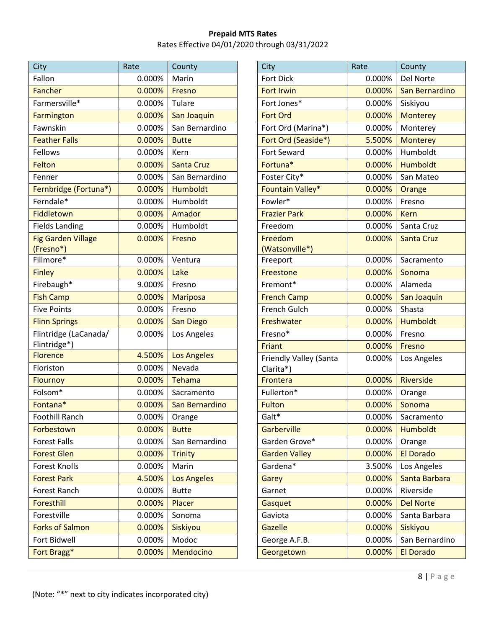| City                      | Rate   | County             |
|---------------------------|--------|--------------------|
| Fallon                    | 0.000% | Marin              |
| Fancher                   | 0.000% | Fresno             |
| Farmersville*             | 0.000% | Tulare             |
| Farmington                | 0.000% | San Joaquin        |
| Fawnskin                  | 0.000% | San Bernardino     |
| <b>Feather Falls</b>      | 0.000% | <b>Butte</b>       |
| <b>Fellows</b>            | 0.000% | Kern               |
| Felton                    | 0.000% | <b>Santa Cruz</b>  |
| Fenner                    | 0.000% | San Bernardino     |
| Fernbridge (Fortuna*)     | 0.000% | <b>Humboldt</b>    |
| Ferndale*                 | 0.000% | Humboldt           |
| Fiddletown                | 0.000% | Amador             |
| <b>Fields Landing</b>     | 0.000% | Humboldt           |
| <b>Fig Garden Village</b> | 0.000% | Fresno             |
| (Fresno*)                 |        |                    |
| Fillmore*                 | 0.000% | Ventura            |
| <b>Finley</b>             | 0.000% | Lake               |
| Firebaugh*                | 9.000% | Fresno             |
| <b>Fish Camp</b>          | 0.000% | <b>Mariposa</b>    |
| <b>Five Points</b>        | 0.000% | Fresno             |
| <b>Flinn Springs</b>      | 0.000% | <b>San Diego</b>   |
| Flintridge (LaCanada/     | 0.000% | Los Angeles        |
| Flintridge*)              |        |                    |
| <b>Florence</b>           | 4.500% | <b>Los Angeles</b> |
| Floriston                 | 0.000% | Nevada             |
| Flournoy                  | 0.000% | Tehama             |
| Folsom*                   | 0.000% | Sacramento         |
| Fontana*                  | 0.000% | San Bernardino     |
| <b>Foothill Ranch</b>     | 0.000% | Orange             |
| Forbestown                | 0.000% | <b>Butte</b>       |
| <b>Forest Falls</b>       | 0.000% | San Bernardino     |
| <b>Forest Glen</b>        | 0.000% | <b>Trinity</b>     |
| <b>Forest Knolls</b>      | 0.000% | Marin              |
| <b>Forest Park</b>        | 4.500% | <b>Los Angeles</b> |
| Forest Ranch              | 0.000% | <b>Butte</b>       |
| Foresthill                | 0.000% | Placer             |
| Forestville               | 0.000% | Sonoma             |
| <b>Forks of Salmon</b>    | 0.000% | Siskiyou           |
| Fort Bidwell              | 0.000% | Modoc              |
| Fort Bragg*               | 0.000% | Mendocino          |

| City                                | Rate      | County            |
|-------------------------------------|-----------|-------------------|
| <b>Fort Dick</b>                    | 0.000%    | Del Norte         |
| <b>Fort Irwin</b>                   | $0.000\%$ | San Bernardino    |
| Fort Jones*                         | 0.000%    | Siskiyou          |
| <b>Fort Ord</b>                     | 0.000%    | <b>Monterey</b>   |
| Fort Ord (Marina*)                  | 0.000%    | Monterey          |
| Fort Ord (Seaside*)                 | 5.500%    | <b>Monterey</b>   |
| Fort Seward                         | 0.000%    | Humboldt          |
| Fortuna*                            | 0.000%    | <b>Humboldt</b>   |
| Foster City*                        | 0.000%    | San Mateo         |
| <b>Fountain Valley*</b>             | 0.000%    | Orange            |
| Fowler*                             | 0.000%    | Fresno            |
| <b>Frazier Park</b>                 | 0.000%    | <b>Kern</b>       |
| Freedom                             | 0.000%    | Santa Cruz        |
| Freedom                             | $0.000\%$ | <b>Santa Cruz</b> |
| (Watsonville*)                      |           |                   |
| Freeport                            | 0.000%    | Sacramento        |
| Freestone                           | 0.000%    | Sonoma            |
| Fremont*                            | 0.000%    | Alameda           |
| <b>French Camp</b>                  | 0.000%    | San Joaquin       |
| French Gulch                        | 0.000%    | Shasta            |
| Freshwater                          | 0.000%    | <b>Humboldt</b>   |
| Fresno*                             | 0.000%    | Fresno            |
| Friant                              | 0.000%    | Fresno            |
| Friendly Valley (Santa<br>Clarita*) | 0.000%    | Los Angeles       |
| Frontera                            | 0.000%    | <b>Riverside</b>  |
| Fullerton*                          | 0.000%    | Orange            |
| <b>Fulton</b>                       | 0.000%    | Sonoma            |
| Galt*                               | 0.000%    | Sacramento        |
| Garberville                         | 0.000%    | <b>Humboldt</b>   |
| Garden Grove*                       | 0.000%    | Orange            |
| <b>Garden Valley</b>                | 0.000%    | <b>El Dorado</b>  |
| Gardena*                            | 3.500%    | Los Angeles       |
| Garey                               | 0.000%    | Santa Barbara     |
| Garnet                              | 0.000%    | Riverside         |
| Gasquet                             | 0.000%    | <b>Del Norte</b>  |
| Gaviota                             | 0.000%    | Santa Barbara     |
| <b>Gazelle</b>                      | 0.000%    | Siskiyou          |
| George A.F.B.                       | 0.000%    | San Bernardino    |
| Georgetown                          | 0.000%    | <b>El Dorado</b>  |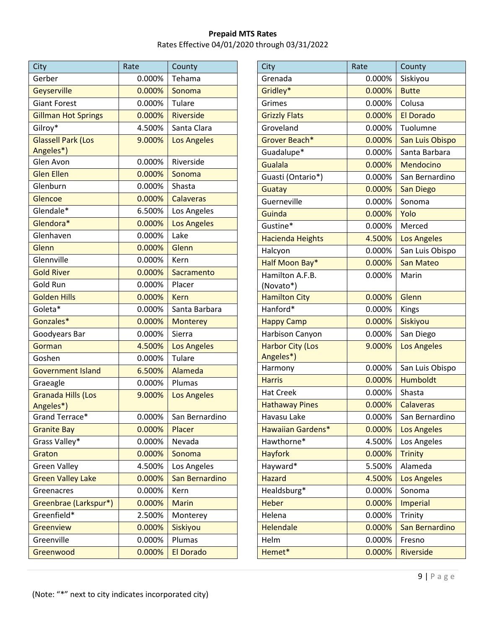| City                                   | Rate   | County             |
|----------------------------------------|--------|--------------------|
| Gerber                                 | 0.000% | Tehama             |
| Geyserville                            | 0.000% | Sonoma             |
| <b>Giant Forest</b>                    | 0.000% | Tulare             |
| <b>Gillman Hot Springs</b>             | 0.000% | <b>Riverside</b>   |
| Gilroy*                                | 4.500% | Santa Clara        |
| <b>Glassell Park (Los</b><br>Angeles*) | 9.000% | <b>Los Angeles</b> |
| Glen Avon                              | 0.000% | Riverside          |
| <b>Glen Ellen</b>                      | 0.000% | Sonoma             |
| Glenburn                               | 0.000% | Shasta             |
| Glencoe                                | 0.000% | Calaveras          |
| Glendale*                              | 6.500% | Los Angeles        |
| Glendora*                              | 0.000% | <b>Los Angeles</b> |
| Glenhaven                              | 0.000% | Lake               |
| Glenn                                  | 0.000% | Glenn              |
| Glennville                             | 0.000% | Kern               |
| <b>Gold River</b>                      | 0.000% | Sacramento         |
| Gold Run                               | 0.000% | Placer             |
| <b>Golden Hills</b>                    | 0.000% | <b>Kern</b>        |
| Goleta*                                | 0.000% | Santa Barbara      |
| Gonzales*                              | 0.000% | <b>Monterey</b>    |
| Goodyears Bar                          | 0.000% | Sierra             |
| Gorman                                 | 4.500% | <b>Los Angeles</b> |
| Goshen                                 | 0.000% | Tulare             |
| <b>Government Island</b>               | 6.500% | Alameda            |
| Graeagle                               | 0.000% | Plumas             |
| <b>Granada Hills (Los</b><br>Angeles*) | 9.000% | <b>Los Angeles</b> |
| Grand Terrace*                         | 0.000% | San Bernardino     |
| <b>Granite Bay</b>                     | 0.000% | Placer             |
| Grass Valley*                          | 0.000% | Nevada             |
| Graton                                 | 0.000% | Sonoma             |
| <b>Green Valley</b>                    | 4.500% | Los Angeles        |
| <b>Green Valley Lake</b>               | 0.000% | San Bernardino     |
| Greenacres                             | 0.000% | Kern               |
| Greenbrae (Larkspur*)                  | 0.000% | <b>Marin</b>       |
| Greenfield*                            | 2.500% | Monterey           |
| Greenview                              | 0.000% | Siskiyou           |
| Greenville                             | 0.000% | Plumas             |
| Greenwood                              | 0.000% | El Dorado          |

| City                     | Rate   | County             |
|--------------------------|--------|--------------------|
| Grenada                  | 0.000% | Siskiyou           |
| Gridley*                 | 0.000% | <b>Butte</b>       |
| Grimes                   | 0.000% | Colusa             |
| <b>Grizzly Flats</b>     | 0.000% | <b>El Dorado</b>   |
| Groveland                | 0.000% | Tuolumne           |
| Grover Beach*            | 0.000% | San Luis Obispo    |
| Guadalupe*               | 0.000% | Santa Barbara      |
| Gualala                  | 0.000% | Mendocino          |
| Guasti (Ontario*)        | 0.000% | San Bernardino     |
| Guatay                   | 0.000% | <b>San Diego</b>   |
| Guerneville              | 0.000% | Sonoma             |
| Guinda                   | 0.000% | Yolo               |
| Gustine*                 | 0.000% | Merced             |
| <b>Hacienda Heights</b>  | 4.500% | <b>Los Angeles</b> |
| Halcyon                  | 0.000% | San Luis Obispo    |
| Half Moon Bay*           | 0.000% | <b>San Mateo</b>   |
| Hamilton A.F.B.          | 0.000% | Marin              |
| (Novato*)                |        |                    |
| <b>Hamilton City</b>     | 0.000% | Glenn              |
| Hanford*                 | 0.000% | Kings              |
| <b>Happy Camp</b>        | 0.000% | Siskiyou           |
| Harbison Canyon          | 0.000% | San Diego          |
| <b>Harbor City (Los</b>  | 9.000% | <b>Los Angeles</b> |
| Angeles*)                |        |                    |
| Harmony                  | 0.000% | San Luis Obispo    |
| <b>Harris</b>            | 0.000% | <b>Humboldt</b>    |
| <b>Hat Creek</b>         | 0.000% | Shasta             |
| <b>Hathaway Pines</b>    | 0.000% | Calaveras          |
| Havasu Lake              | 0.000% | San Bernardino     |
| <b>Hawaiian Gardens*</b> | 0.000% | <b>Los Angeles</b> |
| Hawthorne*               | 4.500% | Los Angeles        |
| <b>Hayfork</b>           | 0.000% | <b>Trinity</b>     |
| Hayward*                 | 5.500% | Alameda            |
| <b>Hazard</b>            | 4.500% | <b>Los Angeles</b> |
| Healdsburg*              | 0.000% | Sonoma             |
| <b>Heber</b>             | 0.000% | <b>Imperial</b>    |
| Helena                   | 0.000% | Trinity            |
| <b>Helendale</b>         | 0.000% | San Bernardino     |
| Helm                     | 0.000% | Fresno             |
| Hemet*                   | 0.000% | Riverside          |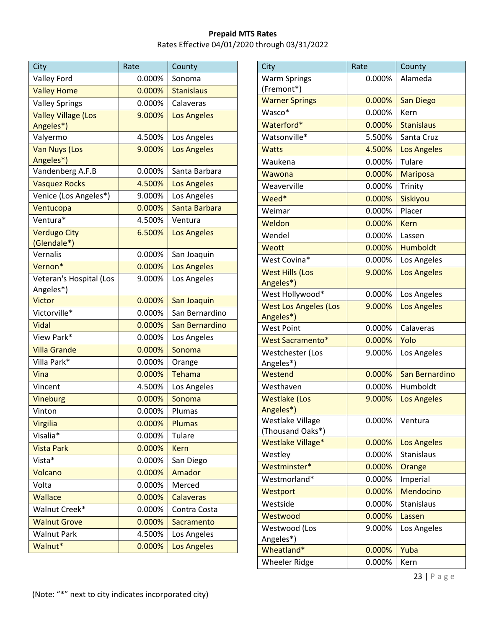| City                                 | Rate   | County             |
|--------------------------------------|--------|--------------------|
| <b>Valley Ford</b>                   | 0.000% | Sonoma             |
| <b>Valley Home</b>                   | 0.000% | <b>Stanislaus</b>  |
| <b>Valley Springs</b>                | 0.000% | Calaveras          |
| <b>Valley Village (Los</b>           | 9.000% | <b>Los Angeles</b> |
| Angeles*)                            |        |                    |
| Valyermo                             | 4.500% | Los Angeles        |
| <b>Van Nuys (Los</b><br>Angeles*)    | 9.000% | <b>Los Angeles</b> |
| Vandenberg A.F.B                     | 0.000% | Santa Barbara      |
| <b>Vasquez Rocks</b>                 | 4.500% | <b>Los Angeles</b> |
| Venice (Los Angeles*)                | 9.000% | Los Angeles        |
| Ventucopa                            | 0.000% | Santa Barbara      |
| Ventura*                             | 4.500% | Ventura            |
| <b>Verdugo City</b><br>(Glendale*)   | 6.500% | <b>Los Angeles</b> |
| Vernalis                             | 0.000% | San Joaquin        |
| Vernon*                              | 0.000% | <b>Los Angeles</b> |
| Veteran's Hospital (Los<br>Angeles*) | 9.000% | Los Angeles        |
| Victor                               | 0.000% | San Joaquin        |
| Victorville*                         | 0.000% | San Bernardino     |
| Vidal                                | 0.000% | San Bernardino     |
| View Park*                           | 0.000% | Los Angeles        |
| <b>Villa Grande</b>                  | 0.000% | Sonoma             |
| Villa Park*                          | 0.000% | Orange             |
| Vina                                 | 0.000% | <b>Tehama</b>      |
| Vincent                              | 4.500% | Los Angeles        |
| Vineburg                             | 0.000% | Sonoma             |
| Vinton                               | 0.000% | Plumas             |
| <b>Virgilia</b>                      | 0.000% | Plumas             |
| Visalia*                             | 0.000% | <b>Tulare</b>      |
| <b>Vista Park</b>                    | 0.000% | <b>Kern</b>        |
| Vista*                               | 0.000% | San Diego          |
| Volcano                              | 0.000% | Amador             |
| Volta                                | 0.000% | Merced             |
| <b>Wallace</b>                       | 0.000% | <b>Calaveras</b>   |
| Walnut Creek*                        | 0.000% | Contra Costa       |
| <b>Walnut Grove</b>                  | 0.000% | <b>Sacramento</b>  |
| <b>Walnut Park</b>                   | 4.500% | Los Angeles        |
| Walnut*                              | 0.000% | <b>Los Angeles</b> |

| City                                 | Rate      | County             |
|--------------------------------------|-----------|--------------------|
| <b>Warm Springs</b>                  | 0.000%    | Alameda            |
| (Fremont*)                           |           |                    |
| <b>Warner Springs</b>                | $0.000\%$ | <b>San Diego</b>   |
| Wasco*                               | 0.000%    | Kern               |
| Waterford*                           | 0.000%    | <b>Stanislaus</b>  |
| Watsonville*                         | 5.500%    | Santa Cruz         |
| <b>Watts</b>                         | 4.500%    | <b>Los Angeles</b> |
| Waukena                              | 0.000%    | Tulare             |
| Wawona                               | 0.000%    | <b>Mariposa</b>    |
| Weaverville                          | 0.000%    | Trinity            |
| Weed*                                | 0.000%    | Siskiyou           |
| Weimar                               | 0.000%    | Placer             |
| Weldon                               | $0.000\%$ | Kern               |
| Wendel                               | 0.000%    | Lassen             |
| Weott                                | 0.000%    | <b>Humboldt</b>    |
| West Covina*                         | 0.000%    | Los Angeles        |
| <b>West Hills (Los</b>               | 9.000%    | <b>Los Angeles</b> |
| Angeles*)                            |           |                    |
| West Hollywood*                      | 0.000%    | Los Angeles        |
| West Los Angeles (Los                | 9.000%    | <b>Los Angeles</b> |
| Angeles*)                            |           |                    |
| <b>West Point</b>                    | 0.000%    | Calaveras          |
| <b>West Sacramento*</b>              | 0.000%    | Yolo               |
| Westchester (Los                     | 9.000%    | Los Angeles        |
| Angeles*)                            |           |                    |
| Westend                              | 0.000%    | San Bernardino     |
| Westhaven                            | 0.000%    | Humboldt           |
| <b>Westlake (Los</b>                 | 9.000%    | <b>Los Angeles</b> |
| Angeles*)<br><b>Westlake Village</b> | 0.000%    | Ventura            |
| (Thousand Oaks*)                     |           |                    |
| Westlake Village*                    | 0.000%    | <b>Los Angeles</b> |
| Westley                              | 0.000%    | Stanislaus         |
| Westminster*                         | 0.000%    | Orange             |
| Westmorland*                         | 0.000%    | Imperial           |
| Westport                             | 0.000%    | Mendocino          |
| Westside                             | 0.000%    | Stanislaus         |
| Westwood                             | 0.000%    | Lassen             |
| Westwood (Los                        | 9.000%    | Los Angeles        |
| Angeles*)                            |           |                    |
| Wheatland*                           | 0.000%    | Yuba               |
| <b>Wheeler Ridge</b>                 | 0.000%    | Kern               |